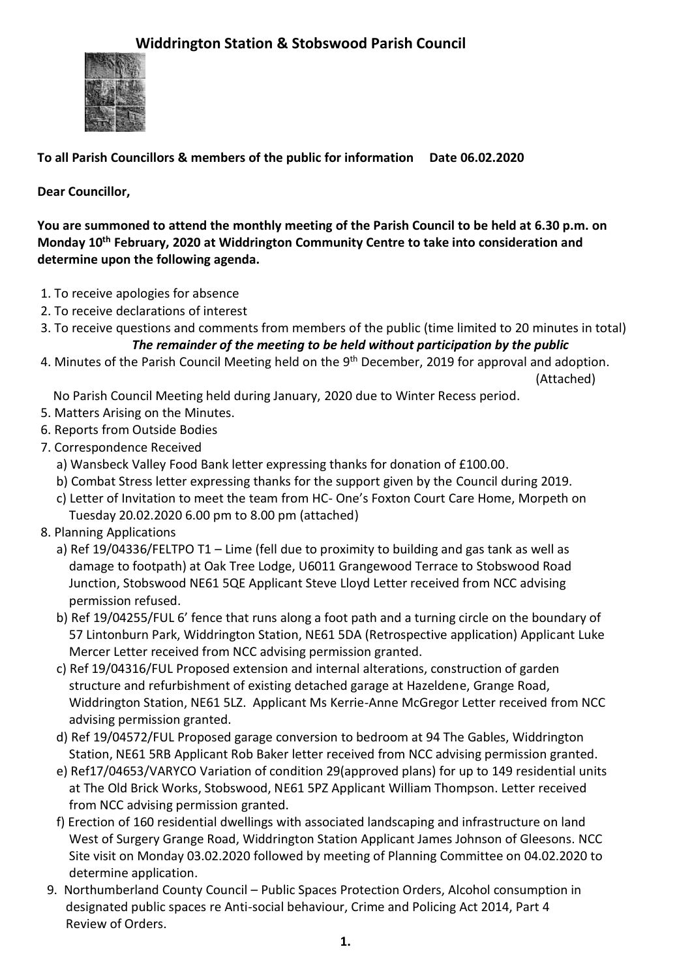

**To all Parish Councillors & members of the public for information Date 06.02.2020**

**Dear Councillor,**

**You are summoned to attend the monthly meeting of the Parish Council to be held at 6.30 p.m. on Monday 10th February, 2020 at Widdrington Community Centre to take into consideration and determine upon the following agenda.**

- 1. To receive apologies for absence
- 2. To receive declarations of interest
- 3. To receive questions and comments from members of the public (time limited to 20 minutes in total)

## *The remainder of the meeting to be held without participation by the public*

4. Minutes of the Parish Council Meeting held on the 9<sup>th</sup> December, 2019 for approval and adoption. (Attached)

No Parish Council Meeting held during January, 2020 due to Winter Recess period.

- 5. Matters Arising on the Minutes.
- 6. Reports from Outside Bodies
- 7. Correspondence Received
	- a) Wansbeck Valley Food Bank letter expressing thanks for donation of £100.00.
	- b) Combat Stress letter expressing thanks for the support given by the Council during 2019.
	- c) Letter of Invitation to meet the team from HC- One's Foxton Court Care Home, Morpeth on Tuesday 20.02.2020 6.00 pm to 8.00 pm (attached)
- 8. Planning Applications
	- a) Ref 19/04336/FELTPO T1 Lime (fell due to proximity to building and gas tank as well as damage to footpath) at Oak Tree Lodge, U6011 Grangewood Terrace to Stobswood Road Junction, Stobswood NE61 5QE Applicant Steve Lloyd Letter received from NCC advising permission refused.
	- b) Ref 19/04255/FUL 6' fence that runs along a foot path and a turning circle on the boundary of 57 Lintonburn Park, Widdrington Station, NE61 5DA (Retrospective application) Applicant Luke Mercer Letter received from NCC advising permission granted.
	- c) Ref 19/04316/FUL Proposed extension and internal alterations, construction of garden structure and refurbishment of existing detached garage at Hazeldene, Grange Road, Widdrington Station, NE61 5LZ. Applicant Ms Kerrie-Anne McGregor Letter received from NCC advising permission granted.
	- d) Ref 19/04572/FUL Proposed garage conversion to bedroom at 94 The Gables, Widdrington Station, NE61 5RB Applicant Rob Baker letter received from NCC advising permission granted.
	- e) Ref17/04653/VARYCO Variation of condition 29(approved plans) for up to 149 residential units at The Old Brick Works, Stobswood, NE61 5PZ Applicant William Thompson. Letter received from NCC advising permission granted.
	- f) Erection of 160 residential dwellings with associated landscaping and infrastructure on land West of Surgery Grange Road, Widdrington Station Applicant James Johnson of Gleesons. NCC Site visit on Monday 03.02.2020 followed by meeting of Planning Committee on 04.02.2020 to determine application.
	- 9. Northumberland County Council Public Spaces Protection Orders, Alcohol consumption in designated public spaces re Anti-social behaviour, Crime and Policing Act 2014, Part 4 Review of Orders.